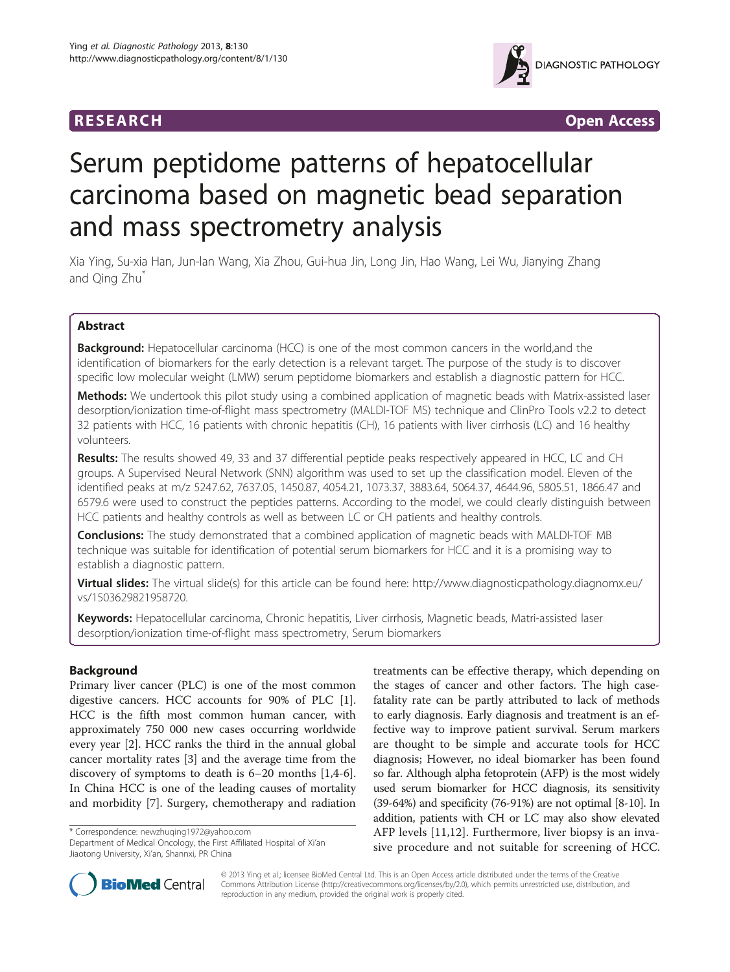

**RESEARCH RESEARCH** *CHECKER CHECKER CONTROLLER* 

# Serum peptidome patterns of hepatocellular carcinoma based on magnetic bead separation and mass spectrometry analysis

Xia Ying, Su-xia Han, Jun-lan Wang, Xia Zhou, Gui-hua Jin, Long Jin, Hao Wang, Lei Wu, Jianying Zhang and Qing Zhu<sup>\*</sup>

# Abstract

**Background:** Hepatocellular carcinoma (HCC) is one of the most common cancers in the world, and the identification of biomarkers for the early detection is a relevant target. The purpose of the study is to discover specific low molecular weight (LMW) serum peptidome biomarkers and establish a diagnostic pattern for HCC.

Methods: We undertook this pilot study using a combined application of magnetic beads with Matrix-assisted laser desorption/ionization time-of-flight mass spectrometry (MALDI-TOF MS) technique and ClinPro Tools v2.2 to detect 32 patients with HCC, 16 patients with chronic hepatitis (CH), 16 patients with liver cirrhosis (LC) and 16 healthy volunteers.

Results: The results showed 49, 33 and 37 differential peptide peaks respectively appeared in HCC, LC and CH groups. A Supervised Neural Network (SNN) algorithm was used to set up the classification model. Eleven of the identified peaks at m/z 5247.62, 7637.05, 1450.87, 4054.21, 1073.37, 3883.64, 5064.37, 4644.96, 5805.51, 1866.47 and 6579.6 were used to construct the peptides patterns. According to the model, we could clearly distinguish between HCC patients and healthy controls as well as between LC or CH patients and healthy controls.

**Conclusions:** The study demonstrated that a combined application of magnetic beads with MALDI-TOF MB technique was suitable for identification of potential serum biomarkers for HCC and it is a promising way to establish a diagnostic pattern.

Virtual slides: The virtual slide(s) for this article can be found here: [http://www.diagnosticpathology.diagnomx.eu/](http://www.diagnosticpathology.diagnomx.eu/vs/1503629821958720) [vs/1503629821958720](http://www.diagnosticpathology.diagnomx.eu/vs/1503629821958720).

Keywords: Hepatocellular carcinoma, Chronic hepatitis, Liver cirrhosis, Magnetic beads, Matri-assisted laser desorption/ionization time-of-flight mass spectrometry, Serum biomarkers

# Background

Primary liver cancer (PLC) is one of the most common digestive cancers. HCC accounts for 90% of PLC [\[1](#page-5-0)]. HCC is the fifth most common human cancer, with approximately 750 000 new cases occurring worldwide every year [[2\]](#page-5-0). HCC ranks the third in the annual global cancer mortality rates [\[3](#page-5-0)] and the average time from the discovery of symptoms to death is 6–20 months [[1,4-6](#page-5-0)]. In China HCC is one of the leading causes of mortality and morbidity [\[7](#page-5-0)]. Surgery, chemotherapy and radiation

\* Correspondence: [newzhuqing1972@yahoo.com](mailto:newzhuqing1972@yahoo.com)

Department of Medical Oncology, the First Affiliated Hospital of Xi'an Jiaotong University, Xi'an, Shannxi, PR China

treatments can be effective therapy, which depending on the stages of cancer and other factors. The high casefatality rate can be partly attributed to lack of methods to early diagnosis. Early diagnosis and treatment is an effective way to improve patient survival. Serum markers are thought to be simple and accurate tools for HCC diagnosis; However, no ideal biomarker has been found so far. Although alpha fetoprotein (AFP) is the most widely used serum biomarker for HCC diagnosis, its sensitivity (39-64%) and specificity (76-91%) are not optimal [[8-10](#page-5-0)]. In addition, patients with CH or LC may also show elevated AFP levels [[11,12](#page-5-0)]. Furthermore, liver biopsy is an invasive procedure and not suitable for screening of HCC.



© 2013 Ying et al.; licensee BioMed Central Ltd. This is an Open Access article distributed under the terms of the Creative Commons Attribution License [\(http://creativecommons.org/licenses/by/2.0\)](http://creativecommons.org/licenses/by/2.0), which permits unrestricted use, distribution, and reproduction in any medium, provided the original work is properly cited.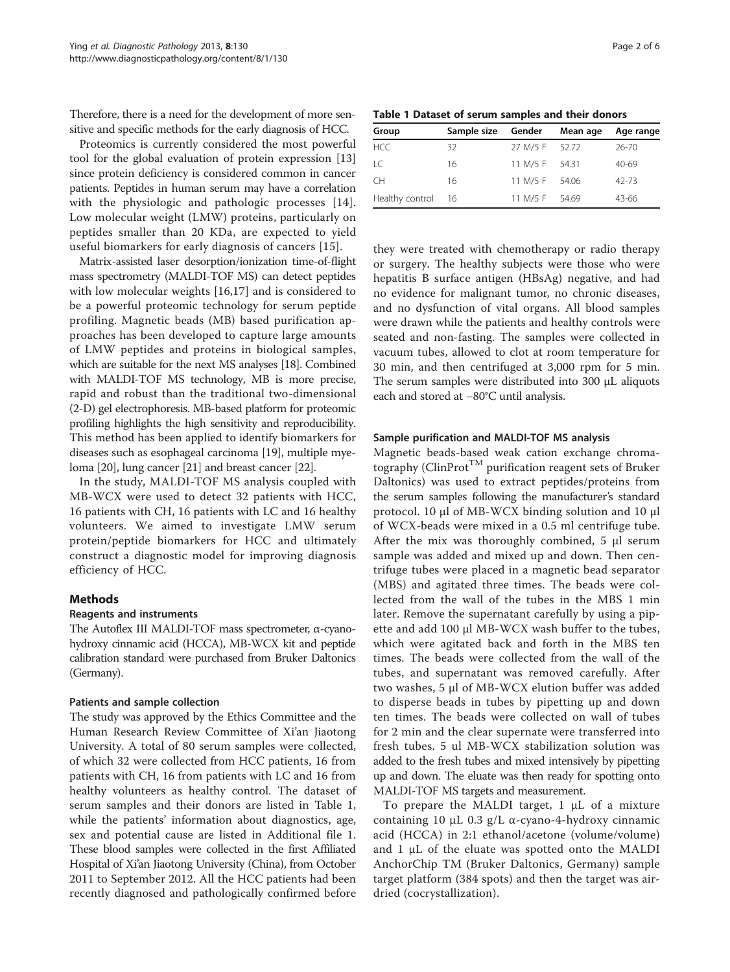<span id="page-1-0"></span>Therefore, there is a need for the development of more sensitive and specific methods for the early diagnosis of HCC.

Proteomics is currently considered the most powerful tool for the global evaluation of protein expression [[13](#page-5-0)] since protein deficiency is considered common in cancer patients. Peptides in human serum may have a correlation with the physiologic and pathologic processes [[14](#page-5-0)]. Low molecular weight (LMW) proteins, particularly on peptides smaller than 20 KDa, are expected to yield useful biomarkers for early diagnosis of cancers [[15\]](#page-5-0).

Matrix-assisted laser desorption/ionization time-of-flight mass spectrometry (MALDI-TOF MS) can detect peptides with low molecular weights [[16,17](#page-5-0)] and is considered to be a powerful proteomic technology for serum peptide profiling. Magnetic beads (MB) based purification approaches has been developed to capture large amounts of LMW peptides and proteins in biological samples, which are suitable for the next MS analyses [\[18\]](#page-5-0). Combined with MALDI-TOF MS technology, MB is more precise, rapid and robust than the traditional two-dimensional (2-D) gel electrophoresis. MB-based platform for proteomic profiling highlights the high sensitivity and reproducibility. This method has been applied to identify biomarkers for diseases such as esophageal carcinoma [[19](#page-5-0)], multiple myeloma [\[20\]](#page-5-0), lung cancer [\[21\]](#page-5-0) and breast cancer [\[22\]](#page-5-0).

In the study, MALDI-TOF MS analysis coupled with MB-WCX were used to detect 32 patients with HCC, 16 patients with CH, 16 patients with LC and 16 healthy volunteers. We aimed to investigate LMW serum protein/peptide biomarkers for HCC and ultimately construct a diagnostic model for improving diagnosis efficiency of HCC.

# Methods

# Reagents and instruments

The Autoflex III MALDI-TOF mass spectrometer, α-cyanohydroxy cinnamic acid (HCCA), MB-WCX kit and peptide calibration standard were purchased from Bruker Daltonics (Germany).

# Patients and sample collection

The study was approved by the Ethics Committee and the Human Research Review Committee of Xi'an Jiaotong University. A total of 80 serum samples were collected, of which 32 were collected from HCC patients, 16 from patients with CH, 16 from patients with LC and 16 from healthy volunteers as healthy control. The dataset of serum samples and their donors are listed in Table 1, while the patients' information about diagnostics, age, sex and potential cause are listed in Additional file [1](#page-4-0). These blood samples were collected in the first Affiliated Hospital of Xi'an Jiaotong University (China), from October 2011 to September 2012. All the HCC patients had been recently diagnosed and pathologically confirmed before

| Page 2 of |  | 6 |
|-----------|--|---|
|-----------|--|---|

| Group           | Sample size | Gender         | Mean age | Age range |
|-----------------|-------------|----------------|----------|-----------|
| HCC.            | 32          | 27 M/5 F 52.72 |          | 26-70     |
| LC              | 16          | 11 M/5 F 54.31 |          | $40 - 69$ |
| CH.             | 16          | 11 M/5 F 54.06 |          | $42 - 73$ |
| Healthy control | - 16        | 11 M/5 F 54.69 |          | 43-66     |

they were treated with chemotherapy or radio therapy or surgery. The healthy subjects were those who were hepatitis B surface antigen (HBsAg) negative, and had no evidence for malignant tumor, no chronic diseases, and no dysfunction of vital organs. All blood samples were drawn while the patients and healthy controls were seated and non-fasting. The samples were collected in vacuum tubes, allowed to clot at room temperature for 30 min, and then centrifuged at 3,000 rpm for 5 min. The serum samples were distributed into 300 μL aliquots each and stored at −80°C until analysis.

#### Sample purification and MALDI-TOF MS analysis

Magnetic beads-based weak cation exchange chromatography (ClinProt<sup>TM</sup> purification reagent sets of Bruker Daltonics) was used to extract peptides/proteins from the serum samples following the manufacturer's standard protocol. 10 μl of MB-WCX binding solution and 10 μl of WCX-beads were mixed in a 0.5 ml centrifuge tube. After the mix was thoroughly combined, 5 μl serum sample was added and mixed up and down. Then centrifuge tubes were placed in a magnetic bead separator (MBS) and agitated three times. The beads were collected from the wall of the tubes in the MBS 1 min later. Remove the supernatant carefully by using a pipette and add 100 μl MB-WCX wash buffer to the tubes, which were agitated back and forth in the MBS ten times. The beads were collected from the wall of the tubes, and supernatant was removed carefully. After two washes, 5 μl of MB-WCX elution buffer was added to disperse beads in tubes by pipetting up and down ten times. The beads were collected on wall of tubes for 2 min and the clear supernate were transferred into fresh tubes. 5 ul MB-WCX stabilization solution was added to the fresh tubes and mixed intensively by pipetting up and down. The eluate was then ready for spotting onto MALDI-TOF MS targets and measurement.

To prepare the MALDI target, 1 μL of a mixture containing 10 μL 0.3 g/L α-cyano-4-hydroxy cinnamic acid (HCCA) in 2:1 ethanol/acetone (volume/volume) and 1 μL of the eluate was spotted onto the MALDI AnchorChip TM (Bruker Daltonics, Germany) sample target platform (384 spots) and then the target was airdried (cocrystallization).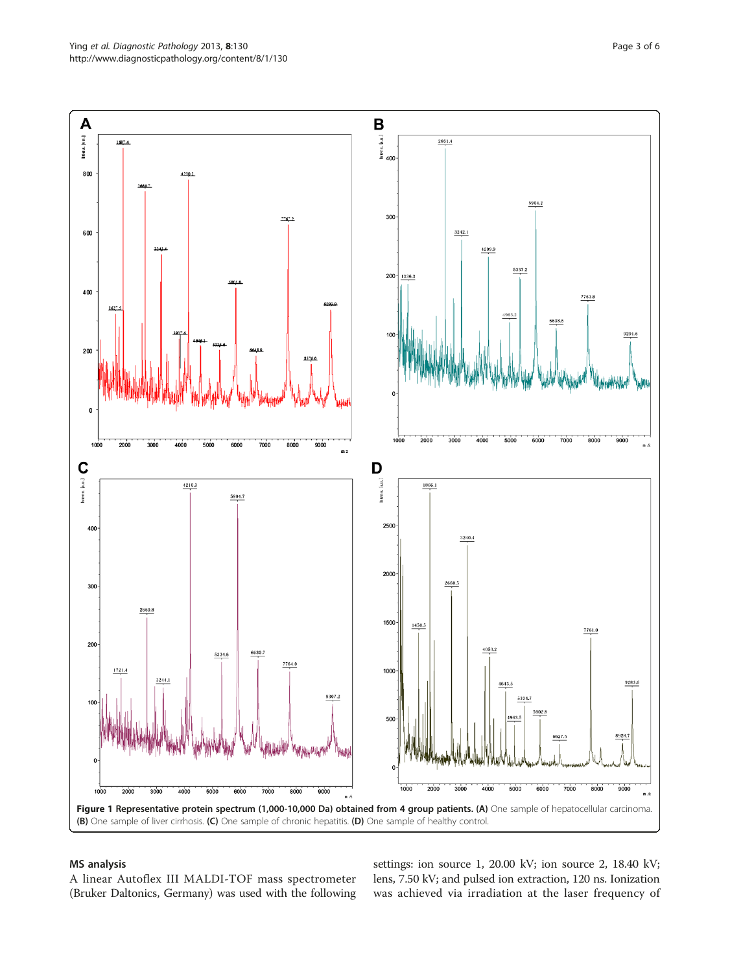<span id="page-2-0"></span>

#### MS analysis

A linear Autoflex III MALDI-TOF mass spectrometer (Bruker Daltonics, Germany) was used with the following

settings: ion source 1, 20.00 kV; ion source 2, 18.40 kV; lens, 7.50 kV; and pulsed ion extraction, 120 ns. Ionization was achieved via irradiation at the laser frequency of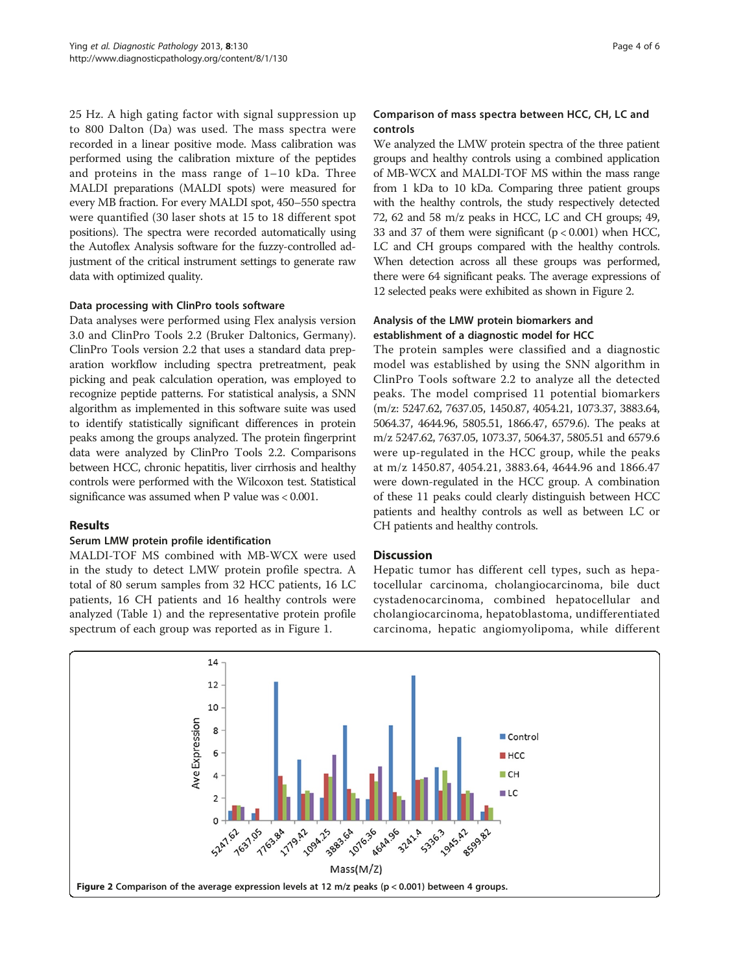25 Hz. A high gating factor with signal suppression up to 800 Dalton (Da) was used. The mass spectra were recorded in a linear positive mode. Mass calibration was performed using the calibration mixture of the peptides and proteins in the mass range of 1–10 kDa. Three MALDI preparations (MALDI spots) were measured for every MB fraction. For every MALDI spot, 450–550 spectra were quantified (30 laser shots at 15 to 18 different spot positions). The spectra were recorded automatically using the Autoflex Analysis software for the fuzzy-controlled adjustment of the critical instrument settings to generate raw data with optimized quality.

# Data processing with ClinPro tools software

Data analyses were performed using Flex analysis version 3.0 and ClinPro Tools 2.2 (Bruker Daltonics, Germany). ClinPro Tools version 2.2 that uses a standard data preparation workflow including spectra pretreatment, peak picking and peak calculation operation, was employed to recognize peptide patterns. For statistical analysis, a SNN algorithm as implemented in this software suite was used to identify statistically significant differences in protein peaks among the groups analyzed. The protein fingerprint data were analyzed by ClinPro Tools 2.2. Comparisons between HCC, chronic hepatitis, liver cirrhosis and healthy controls were performed with the Wilcoxon test. Statistical significance was assumed when P value was < 0.001.

# Results

#### Serum LMW protein profile identification

MALDI-TOF MS combined with MB-WCX were used in the study to detect LMW protein profile spectra. A total of 80 serum samples from 32 HCC patients, 16 LC patients, 16 CH patients and 16 healthy controls were analyzed (Table [1\)](#page-1-0) and the representative protein profile spectrum of each group was reported as in Figure [1.](#page-2-0)

# Comparison of mass spectra between HCC, CH, LC and controls

We analyzed the LMW protein spectra of the three patient groups and healthy controls using a combined application of MB-WCX and MALDI-TOF MS within the mass range from 1 kDa to 10 kDa. Comparing three patient groups with the healthy controls, the study respectively detected 72, 62 and 58 m/z peaks in HCC, LC and CH groups; 49, 33 and 37 of them were significant  $(p < 0.001)$  when HCC, LC and CH groups compared with the healthy controls. When detection across all these groups was performed, there were 64 significant peaks. The average expressions of 12 selected peaks were exhibited as shown in Figure 2.

#### Analysis of the LMW protein biomarkers and establishment of a diagnostic model for HCC

The protein samples were classified and a diagnostic model was established by using the SNN algorithm in ClinPro Tools software 2.2 to analyze all the detected peaks. The model comprised 11 potential biomarkers (m/z: 5247.62, 7637.05, 1450.87, 4054.21, 1073.37, 3883.64, 5064.37, 4644.96, 5805.51, 1866.47, 6579.6). The peaks at m/z 5247.62, 7637.05, 1073.37, 5064.37, 5805.51 and 6579.6 were up-regulated in the HCC group, while the peaks at m/z 1450.87, 4054.21, 3883.64, 4644.96 and 1866.47 were down-regulated in the HCC group. A combination of these 11 peaks could clearly distinguish between HCC patients and healthy controls as well as between LC or CH patients and healthy controls.

# **Discussion**

Hepatic tumor has different cell types, such as hepatocellular carcinoma, cholangiocarcinoma, bile duct cystadenocarcinoma, combined hepatocellular and cholangiocarcinoma, hepatoblastoma, undifferentiated carcinoma, hepatic angiomyolipoma, while different

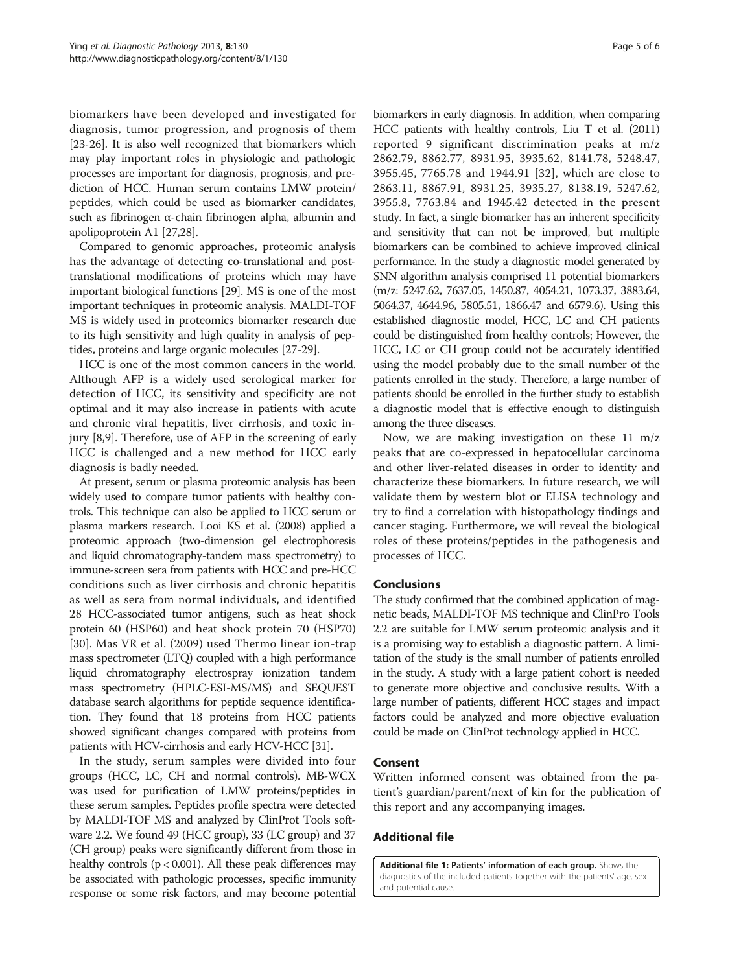<span id="page-4-0"></span>biomarkers have been developed and investigated for diagnosis, tumor progression, and prognosis of them [[23](#page-5-0)-[26\]](#page-5-0). It is also well recognized that biomarkers which may play important roles in physiologic and pathologic processes are important for diagnosis, prognosis, and prediction of HCC. Human serum contains LMW protein/ peptides, which could be used as biomarker candidates, such as fibrinogen α-chain fibrinogen alpha, albumin and apolipoprotein A1 [\[27,28\]](#page-5-0).

Compared to genomic approaches, proteomic analysis has the advantage of detecting co-translational and posttranslational modifications of proteins which may have important biological functions [[29](#page-5-0)]. MS is one of the most important techniques in proteomic analysis. MALDI-TOF MS is widely used in proteomics biomarker research due to its high sensitivity and high quality in analysis of peptides, proteins and large organic molecules [[27-29\]](#page-5-0).

HCC is one of the most common cancers in the world. Although AFP is a widely used serological marker for detection of HCC, its sensitivity and specificity are not optimal and it may also increase in patients with acute and chronic viral hepatitis, liver cirrhosis, and toxic injury [[8,9\]](#page-5-0). Therefore, use of AFP in the screening of early HCC is challenged and a new method for HCC early diagnosis is badly needed.

At present, serum or plasma proteomic analysis has been widely used to compare tumor patients with healthy controls. This technique can also be applied to HCC serum or plasma markers research. Looi KS et al. (2008) applied a proteomic approach (two-dimension gel electrophoresis and liquid chromatography-tandem mass spectrometry) to immune-screen sera from patients with HCC and pre-HCC conditions such as liver cirrhosis and chronic hepatitis as well as sera from normal individuals, and identified 28 HCC-associated tumor antigens, such as heat shock protein 60 (HSP60) and heat shock protein 70 (HSP70) [[30\]](#page-5-0). Mas VR et al. (2009) used Thermo linear ion-trap mass spectrometer (LTQ) coupled with a high performance liquid chromatography electrospray ionization tandem mass spectrometry (HPLC-ESI-MS/MS) and SEQUEST database search algorithms for peptide sequence identification. They found that 18 proteins from HCC patients showed significant changes compared with proteins from patients with HCV-cirrhosis and early HCV-HCC [\[31\]](#page-5-0).

In the study, serum samples were divided into four groups (HCC, LC, CH and normal controls). MB-WCX was used for purification of LMW proteins/peptides in these serum samples. Peptides profile spectra were detected by MALDI-TOF MS and analyzed by ClinProt Tools software 2.2. We found 49 (HCC group), 33 (LC group) and 37 (CH group) peaks were significantly different from those in healthy controls ( $p < 0.001$ ). All these peak differences may be associated with pathologic processes, specific immunity response or some risk factors, and may become potential

biomarkers in early diagnosis. In addition, when comparing HCC patients with healthy controls, Liu T et al. (2011) reported 9 significant discrimination peaks at m/z 2862.79, 8862.77, 8931.95, 3935.62, 8141.78, 5248.47, 3955.45, 7765.78 and 1944.91 [[32\]](#page-5-0), which are close to 2863.11, 8867.91, 8931.25, 3935.27, 8138.19, 5247.62, 3955.8, 7763.84 and 1945.42 detected in the present study. In fact, a single biomarker has an inherent specificity and sensitivity that can not be improved, but multiple biomarkers can be combined to achieve improved clinical performance. In the study a diagnostic model generated by SNN algorithm analysis comprised 11 potential biomarkers (m/z: 5247.62, 7637.05, 1450.87, 4054.21, 1073.37, 3883.64, 5064.37, 4644.96, 5805.51, 1866.47 and 6579.6). Using this established diagnostic model, HCC, LC and CH patients could be distinguished from healthy controls; However, the HCC, LC or CH group could not be accurately identified using the model probably due to the small number of the patients enrolled in the study. Therefore, a large number of patients should be enrolled in the further study to establish a diagnostic model that is effective enough to distinguish among the three diseases.

Now, we are making investigation on these 11 m/z peaks that are co-expressed in hepatocellular carcinoma and other liver-related diseases in order to identity and characterize these biomarkers. In future research, we will validate them by western blot or ELISA technology and try to find a correlation with histopathology findings and cancer staging. Furthermore, we will reveal the biological roles of these proteins/peptides in the pathogenesis and processes of HCC.

#### Conclusions

The study confirmed that the combined application of magnetic beads, MALDI-TOF MS technique and ClinPro Tools 2.2 are suitable for LMW serum proteomic analysis and it is a promising way to establish a diagnostic pattern. A limitation of the study is the small number of patients enrolled in the study. A study with a large patient cohort is needed to generate more objective and conclusive results. With a large number of patients, different HCC stages and impact factors could be analyzed and more objective evaluation could be made on ClinProt technology applied in HCC.

# Consent

Written informed consent was obtained from the patient's guardian/parent/next of kin for the publication of this report and any accompanying images.

# Additional file

[Additional file 1:](http://www.biomedcentral.com/content/supplementary/1746-1596-8-130-S1.doc) Patients' information of each group. Shows the diagnostics of the included patients together with the patients' age, sex and potential cause.